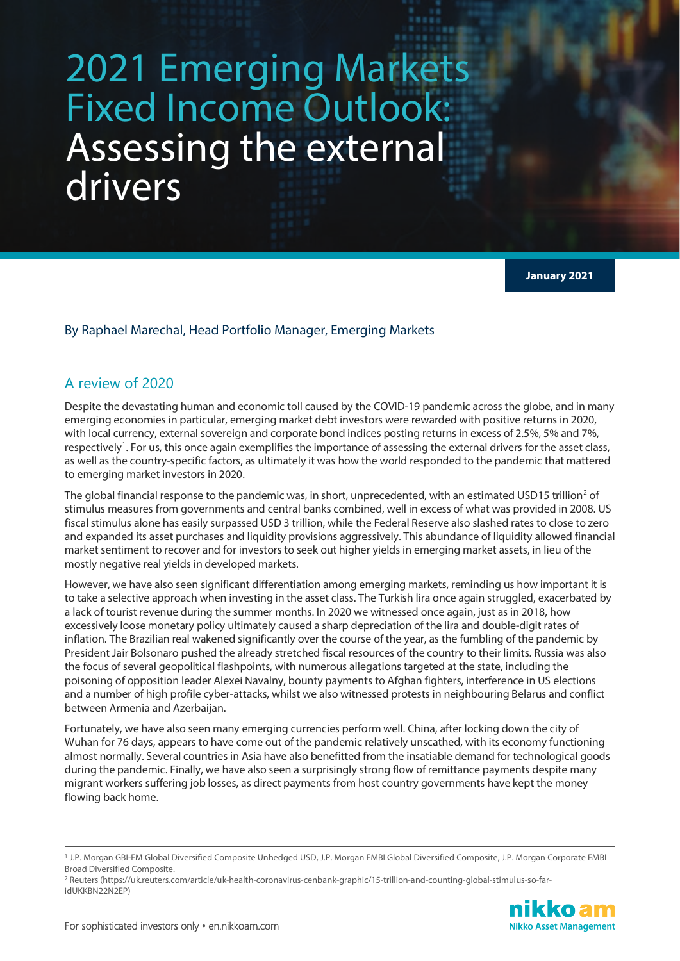# 2021 Emerging Markets Fixed Income Outlook: Assessing the external drivers

**January 2021**

#### By Raphael Marechal, Head Portfolio Manager, Emerging Markets

### A review of 2020

Despite the devastating human and economic toll caused by the COVID-19 pandemic across the globe, and in many emerging economies in particular, emerging market debt investors were rewarded with positive returns in 2020, with local currency, external sovereign and corporate bond indices posting returns in excess of 2.5%, 5% and 7%, respectively<sup>[1](#page-0-0)</sup>. For us, this once again exemplifies the importance of assessing the external drivers for the asset class, as well as the country-specific factors, as ultimately it was how the world responded to the pandemic that mattered to emerging market investors in 2020.

The global financial response to the pandemic was, in short, unprecedented, with an estimated USD15 trillion<sup>[2](#page-0-1)</sup> of stimulus measures from governments and central banks combined, well in excess of what was provided in 2008. US fiscal stimulus alone has easily surpassed USD 3 trillion, while the Federal Reserve also slashed rates to close to zero and expanded its asset purchases and liquidity provisions aggressively. This abundance of liquidity allowed financial market sentiment to recover and for investors to seek out higher yields in emerging market assets, in lieu of the mostly negative real yields in developed markets.

However, we have also seen significant differentiation among emerging markets, reminding us how important it is to take a selective approach when investing in the asset class. The Turkish lira once again struggled, exacerbated by a lack of tourist revenue during the summer months. In 2020 we witnessed once again, just as in 2018, how excessively loose monetary policy ultimately caused a sharp depreciation of the lira and double-digit rates of inflation. The Brazilian real wakened significantly over the course of the year, as the fumbling of the pandemic by President Jair Bolsonaro pushed the already stretched fiscal resources of the country to their limits. Russia was also the focus of several geopolitical flashpoints, with numerous allegations targeted at the state, including the poisoning of opposition leader Alexei Navalny, bounty payments to Afghan fighters, interference in US elections and a number of high profile cyber-attacks, whilst we also witnessed protests in neighbouring Belarus and conflict between Armenia and Azerbaijan.

Fortunately, we have also seen many emerging currencies perform well. China, after locking down the city of Wuhan for 76 days, appears to have come out of the pandemic relatively unscathed, with its economy functioning almost normally. Several countries in Asia have also benefitted from the insatiable demand for technological goods during the pandemic. Finally, we have also seen a surprisingly strong flow of remittance payments despite many migrant workers suffering job losses, as direct payments from host country governments have kept the money flowing back home.

<span id="page-0-1"></span><sup>2</sup> Reuters (https://uk.reuters.com/article/uk-health-coronavirus-cenbank-graphic/15-trillion-and-counting-global-stimulus-so-faridUKKBN22N2EP)



<span id="page-0-0"></span><sup>1</sup> J.P. Morgan GBI-EM Global Diversified Composite Unhedged USD, J.P. Morgan EMBI Global Diversified Composite, J.P. Morgan Corporate EMBI Broad Diversified Composite.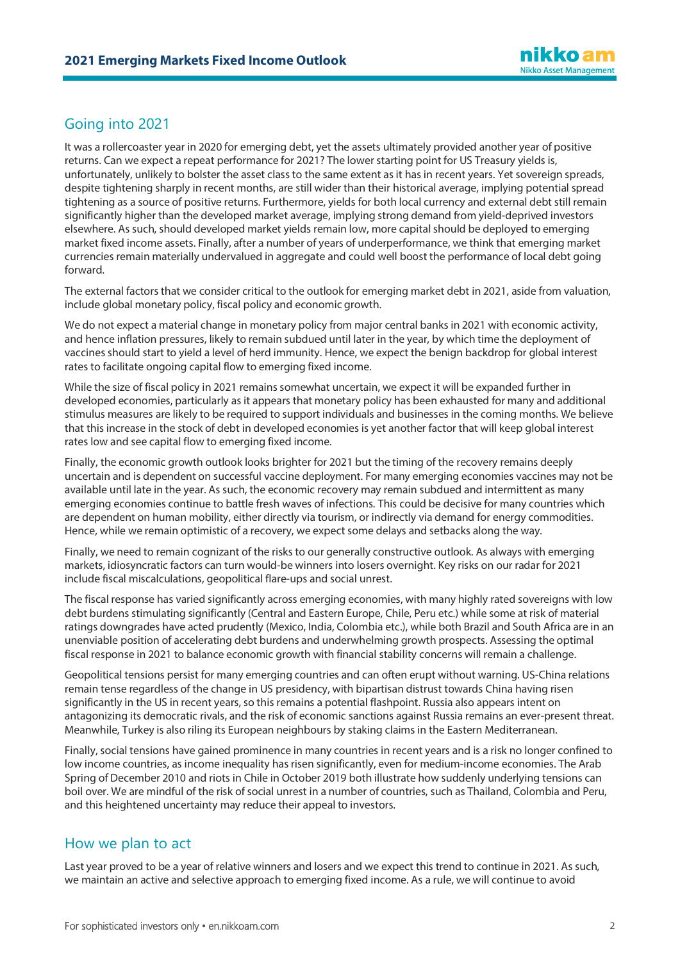## Going into 2021

It was a rollercoaster year in 2020 for emerging debt, yet the assets ultimately provided another year of positive returns. Can we expect a repeat performance for 2021? The lower starting point for US Treasury yields is, unfortunately, unlikely to bolster the asset class to the same extent as it has in recent years. Yet sovereign spreads, despite tightening sharply in recent months, are still wider than their historical average, implying potential spread tightening as a source of positive returns. Furthermore, yields for both local currency and external debt still remain significantly higher than the developed market average, implying strong demand from yield-deprived investors elsewhere. As such, should developed market yields remain low, more capital should be deployed to emerging market fixed income assets. Finally, after a number of years of underperformance, we think that emerging market currencies remain materially undervalued in aggregate and could well boost the performance of local debt going forward.

The external factors that we consider critical to the outlook for emerging market debt in 2021, aside from valuation, include global monetary policy, fiscal policy and economic growth.

We do not expect a material change in monetary policy from major central banks in 2021 with economic activity, and hence inflation pressures, likely to remain subdued until later in the year, by which time the deployment of vaccines should start to yield a level of herd immunity. Hence, we expect the benign backdrop for global interest rates to facilitate ongoing capital flow to emerging fixed income.

While the size of fiscal policy in 2021 remains somewhat uncertain, we expect it will be expanded further in developed economies, particularly as it appears that monetary policy has been exhausted for many and additional stimulus measures are likely to be required to support individuals and businesses in the coming months. We believe that this increase in the stock of debt in developed economies is yet another factor that will keep global interest rates low and see capital flow to emerging fixed income.

Finally, the economic growth outlook looks brighter for 2021 but the timing of the recovery remains deeply uncertain and is dependent on successful vaccine deployment. For many emerging economies vaccines may not be available until late in the year. As such, the economic recovery may remain subdued and intermittent as many emerging economies continue to battle fresh waves of infections. This could be decisive for many countries which are dependent on human mobility, either directly via tourism, or indirectly via demand for energy commodities. Hence, while we remain optimistic of a recovery, we expect some delays and setbacks along the way.

Finally, we need to remain cognizant of the risks to our generally constructive outlook. As always with emerging markets, idiosyncratic factors can turn would-be winners into losers overnight. Key risks on our radar for 2021 include fiscal miscalculations, geopolitical flare-ups and social unrest.

The fiscal response has varied significantly across emerging economies, with many highly rated sovereigns with low debt burdens stimulating significantly (Central and Eastern Europe, Chile, Peru etc.) while some at risk of material ratings downgrades have acted prudently (Mexico, India, Colombia etc.), while both Brazil and South Africa are in an unenviable position of accelerating debt burdens and underwhelming growth prospects. Assessing the optimal fiscal response in 2021 to balance economic growth with financial stability concerns will remain a challenge.

Geopolitical tensions persist for many emerging countries and can often erupt without warning. US-China relations remain tense regardless of the change in US presidency, with bipartisan distrust towards China having risen significantly in the US in recent years, so this remains a potential flashpoint. Russia also appears intent on antagonizing its democratic rivals, and the risk of economic sanctions against Russia remains an ever-present threat. Meanwhile, Turkey is also riling its European neighbours by staking claims in the Eastern Mediterranean.

Finally, social tensions have gained prominence in many countries in recent years and is a risk no longer confined to low income countries, as income inequality has risen significantly, even for medium-income economies. The Arab Spring of December 2010 and riots in Chile in October 2019 both illustrate how suddenly underlying tensions can boil over. We are mindful of the risk of social unrest in a number of countries, such as Thailand, Colombia and Peru, and this heightened uncertainty may reduce their appeal to investors.

## How we plan to act

Last year proved to be a year of relative winners and losers and we expect this trend to continue in 2021. As such, we maintain an active and selective approach to emerging fixed income. As a rule, we will continue to avoid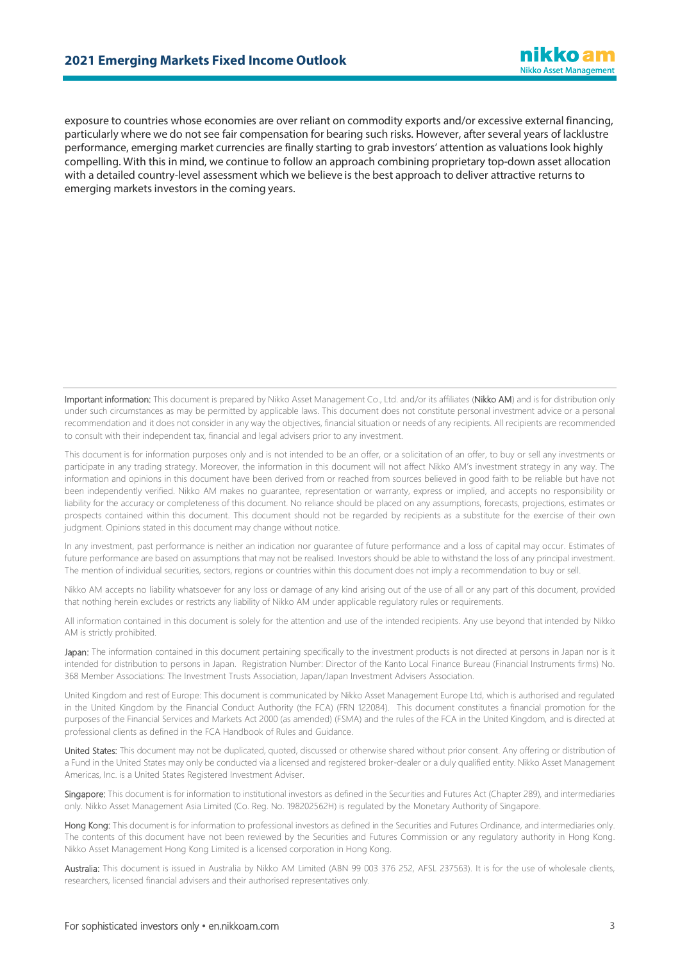#### **2021 Emerging Markets Fixed Income Outlook**

exposure to countries whose economies are over reliant on commodity exports and/or excessive external financing, particularly where we do not see fair compensation for bearing such risks. However, after several years of lacklustre performance, emerging market currencies are finally starting to grab investors' attention as valuations look highly compelling. With this in mind, we continue to follow an approach combining proprietary top-down asset allocation with a detailed country-level assessment which we believe is the best approach to deliver attractive returns to emerging markets investors in the coming years.

Important information: This document is prepared by Nikko Asset Management Co., Ltd. and/or its affiliates (Nikko AM) and is for distribution only under such circumstances as may be permitted by applicable laws. This document does not constitute personal investment advice or a personal recommendation and it does not consider in any way the objectives, financial situation or needs of any recipients. All recipients are recommended to consult with their independent tax, financial and legal advisers prior to any investment.

This document is for information purposes only and is not intended to be an offer, or a solicitation of an offer, to buy or sell any investments or participate in any trading strategy. Moreover, the information in this document will not affect Nikko AM's investment strategy in any way. The information and opinions in this document have been derived from or reached from sources believed in good faith to be reliable but have not been independently verified. Nikko AM makes no guarantee, representation or warranty, express or implied, and accepts no responsibility or liability for the accuracy or completeness of this document. No reliance should be placed on any assumptions, forecasts, projections, estimates or prospects contained within this document. This document should not be regarded by recipients as a substitute for the exercise of their own judgment. Opinions stated in this document may change without notice.

In any investment, past performance is neither an indication nor guarantee of future performance and a loss of capital may occur. Estimates of future performance are based on assumptions that may not be realised. Investors should be able to withstand the loss of any principal investment. The mention of individual securities, sectors, regions or countries within this document does not imply a recommendation to buy or sell.

Nikko AM accepts no liability whatsoever for any loss or damage of any kind arising out of the use of all or any part of this document, provided that nothing herein excludes or restricts any liability of Nikko AM under applicable regulatory rules or requirements.

All information contained in this document is solely for the attention and use of the intended recipients. Any use beyond that intended by Nikko AM is strictly prohibited.

Japan: The information contained in this document pertaining specifically to the investment products is not directed at persons in Japan nor is it intended for distribution to persons in Japan. Registration Number: Director of the Kanto Local Finance Bureau (Financial Instruments firms) No. 368 Member Associations: The Investment Trusts Association, Japan/Japan Investment Advisers Association.

United Kingdom and rest of Europe: This document is communicated by Nikko Asset Management Europe Ltd, which is authorised and regulated in the United Kingdom by the Financial Conduct Authority (the FCA) (FRN 122084). This document constitutes a financial promotion for the purposes of the Financial Services and Markets Act 2000 (as amended) (FSMA) and the rules of the FCA in the United Kingdom, and is directed at professional clients as defined in the FCA Handbook of Rules and Guidance.

United States: This document may not be duplicated, quoted, discussed or otherwise shared without prior consent. Any offering or distribution of a Fund in the United States may only be conducted via a licensed and registered broker-dealer or a duly qualified entity. Nikko Asset Management Americas, Inc. is a United States Registered Investment Adviser.

Singapore: This document is for information to institutional investors as defined in the Securities and Futures Act (Chapter 289), and intermediaries only. Nikko Asset Management Asia Limited (Co. Reg. No. 198202562H) is regulated by the Monetary Authority of Singapore.

Hong Kong: This document is for information to professional investors as defined in the Securities and Futures Ordinance, and intermediaries only. The contents of this document have not been reviewed by the Securities and Futures Commission or any regulatory authority in Hong Kong. Nikko Asset Management Hong Kong Limited is a licensed corporation in Hong Kong.

Australia: This document is issued in Australia by Nikko AM Limited (ABN 99 003 376 252, AFSL 237563). It is for the use of wholesale clients, researchers, licensed financial advisers and their authorised representatives only.